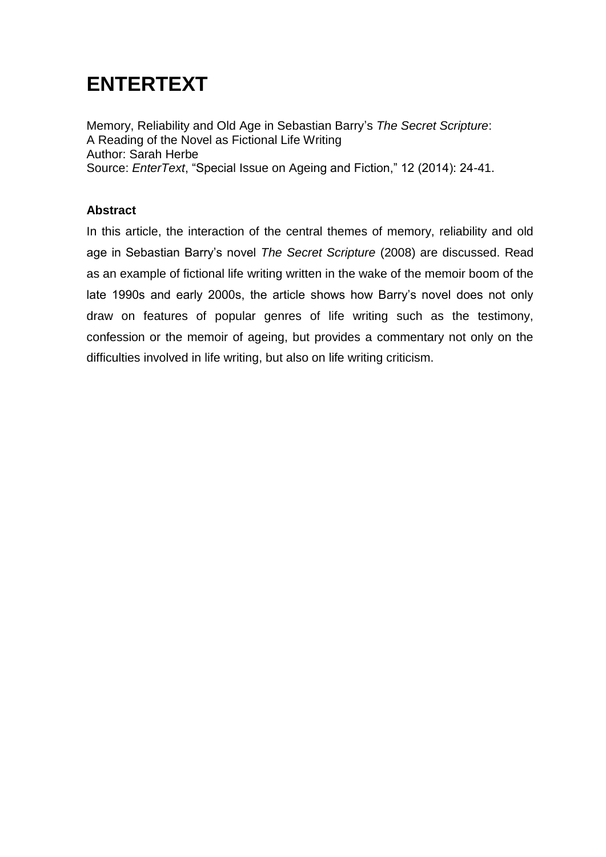## **ENTERTEXT**

Memory, Reliability and Old Age in Sebastian Barry's *The Secret Scripture*: A Reading of the Novel as Fictional Life Writing Author: Sarah Herbe Source: *EnterText*, "Special Issue on Ageing and Fiction," 12 (2014): 24-41.

### **Abstract**

In this article, the interaction of the central themes of memory, reliability and old age in Sebastian Barry's novel *The Secret Scripture* (2008) are discussed. Read as an example of fictional life writing written in the wake of the memoir boom of the late 1990s and early 2000s, the article shows how Barry's novel does not only draw on features of popular genres of life writing such as the testimony, confession or the memoir of ageing, but provides a commentary not only on the difficulties involved in life writing, but also on life writing criticism.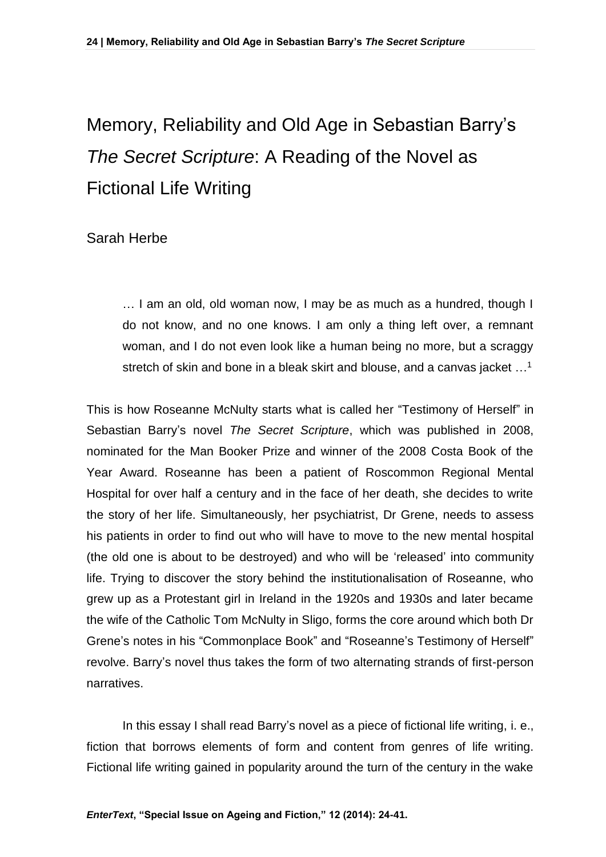# Memory, Reliability and Old Age in Sebastian Barry's *The Secret Scripture*: A Reading of the Novel as Fictional Life Writing

## Sarah Herbe

… I am an old, old woman now, I may be as much as a hundred, though I do not know, and no one knows. I am only a thing left over, a remnant woman, and I do not even look like a human being no more, but a scraggy stretch of skin and bone in a bleak skirt and blouse, and a canvas jacket ...<sup>1</sup>

This is how Roseanne McNulty starts what is called her "Testimony of Herself" in Sebastian Barry's novel *The Secret Scripture*, which was published in 2008, nominated for the Man Booker Prize and winner of the 2008 Costa Book of the Year Award. Roseanne has been a patient of Roscommon Regional Mental Hospital for over half a century and in the face of her death, she decides to write the story of her life. Simultaneously, her psychiatrist, Dr Grene, needs to assess his patients in order to find out who will have to move to the new mental hospital (the old one is about to be destroyed) and who will be 'released' into community life. Trying to discover the story behind the institutionalisation of Roseanne, who grew up as a Protestant girl in Ireland in the 1920s and 1930s and later became the wife of the Catholic Tom McNulty in Sligo, forms the core around which both Dr Grene's notes in his "Commonplace Book" and "Roseanne's Testimony of Herself" revolve. Barry's novel thus takes the form of two alternating strands of first-person narratives.

In this essay I shall read Barry's novel as a piece of fictional life writing, i. e., fiction that borrows elements of form and content from genres of life writing. Fictional life writing gained in popularity around the turn of the century in the wake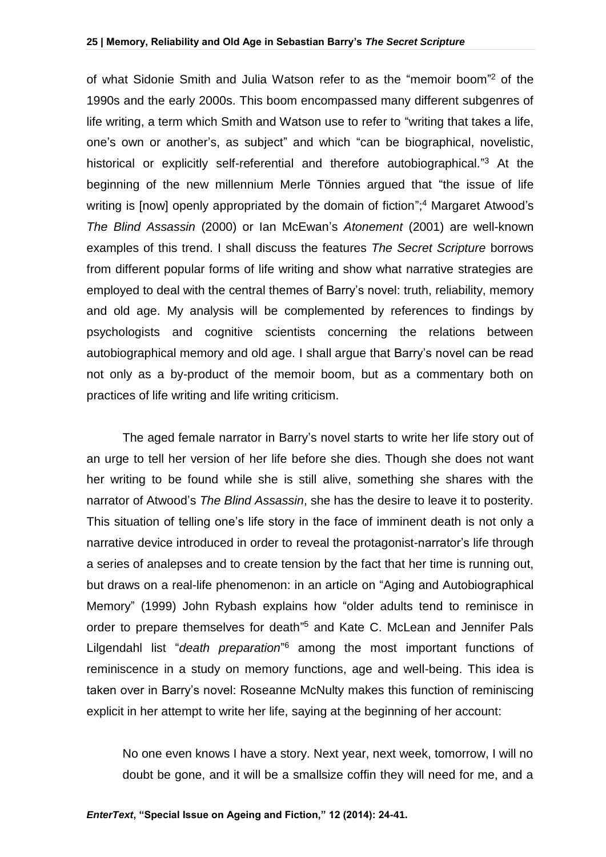of what Sidonie Smith and Julia Watson refer to as the "memoir boom" <sup>2</sup> of the 1990s and the early 2000s. This boom encompassed many different subgenres of life writing, a term which Smith and Watson use to refer to "writing that takes a life, one's own or another's, as subject" and which "can be biographical, novelistic, historical or explicitly self-referential and therefore autobiographical."<sup>3</sup> At the beginning of the new millennium Merle Tönnies argued that "the issue of life writing is [now] openly appropriated by the domain of fiction";<sup>4</sup> Margaret Atwood's *The Blind Assassin* (2000) or Ian McEwan's *Atonement* (2001) are well-known examples of this trend. I shall discuss the features *The Secret Scripture* borrows from different popular forms of life writing and show what narrative strategies are employed to deal with the central themes of Barry's novel: truth, reliability, memory and old age. My analysis will be complemented by references to findings by psychologists and cognitive scientists concerning the relations between autobiographical memory and old age. I shall argue that Barry's novel can be read not only as a by-product of the memoir boom, but as a commentary both on practices of life writing and life writing criticism.

The aged female narrator in Barry's novel starts to write her life story out of an urge to tell her version of her life before she dies. Though she does not want her writing to be found while she is still alive, something she shares with the narrator of Atwood's *The Blind Assassin*, she has the desire to leave it to posterity. This situation of telling one's life story in the face of imminent death is not only a narrative device introduced in order to reveal the protagonist-narrator's life through a series of analepses and to create tension by the fact that her time is running out, but draws on a real-life phenomenon: in an article on "Aging and Autobiographical Memory" (1999) John Rybash explains how "older adults tend to reminisce in order to prepare themselves for death" <sup>5</sup> and Kate C. McLean and Jennifer Pals Lilgendahl list "*death preparation*" <sup>6</sup> among the most important functions of reminiscence in a study on memory functions, age and well-being. This idea is taken over in Barry's novel: Roseanne McNulty makes this function of reminiscing explicit in her attempt to write her life, saying at the beginning of her account:

No one even knows I have a story. Next year, next week, tomorrow, I will no doubt be gone, and it will be a smallsize coffin they will need for me, and a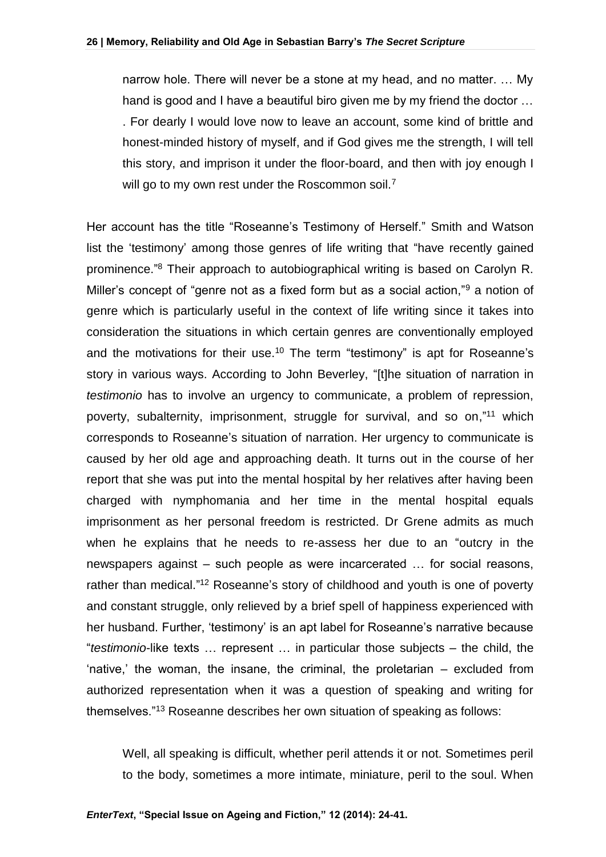narrow hole. There will never be a stone at my head, and no matter. … My hand is good and I have a beautiful biro given me by my friend the doctor … . For dearly I would love now to leave an account, some kind of brittle and honest-minded history of myself, and if God gives me the strength, I will tell this story, and imprison it under the floor-board, and then with joy enough I will go to my own rest under the Roscommon soil.<sup>7</sup>

Her account has the title "Roseanne's Testimony of Herself." Smith and Watson list the 'testimony' among those genres of life writing that "have recently gained prominence." <sup>8</sup> Their approach to autobiographical writing is based on Carolyn R. Miller's concept of "genre not as a fixed form but as a social action,"<sup>9</sup> a notion of genre which is particularly useful in the context of life writing since it takes into consideration the situations in which certain genres are conventionally employed and the motivations for their use.<sup>10</sup> The term "testimony" is apt for Roseanne's story in various ways. According to John Beverley, "[t]he situation of narration in *testimonio* has to involve an urgency to communicate, a problem of repression, poverty, subalternity, imprisonment, struggle for survival, and so on,"<sup>11</sup> which corresponds to Roseanne's situation of narration. Her urgency to communicate is caused by her old age and approaching death. It turns out in the course of her report that she was put into the mental hospital by her relatives after having been charged with nymphomania and her time in the mental hospital equals imprisonment as her personal freedom is restricted. Dr Grene admits as much when he explains that he needs to re-assess her due to an "outcry in the newspapers against – such people as were incarcerated … for social reasons, rather than medical."<sup>12</sup> Roseanne's story of childhood and youth is one of poverty and constant struggle, only relieved by a brief spell of happiness experienced with her husband. Further, 'testimony' is an apt label for Roseanne's narrative because "*testimonio*-like texts … represent … in particular those subjects – the child, the 'native,' the woman, the insane, the criminal, the proletarian – excluded from authorized representation when it was a question of speaking and writing for themselves."<sup>13</sup> Roseanne describes her own situation of speaking as follows:

Well, all speaking is difficult, whether peril attends it or not. Sometimes peril to the body, sometimes a more intimate, miniature, peril to the soul. When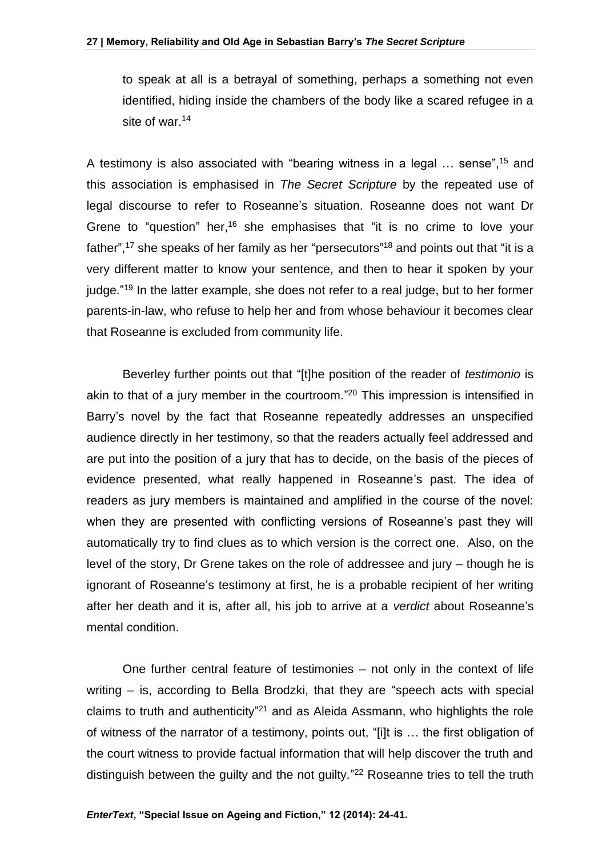to speak at all is a betrayal of something, perhaps a something not even identified, hiding inside the chambers of the body like a scared refugee in a site of war.<sup>14</sup>

A testimony is also associated with "bearing witness in a legal ... sense",<sup>15</sup> and this association is emphasised in *The Secret Scripture* by the repeated use of legal discourse to refer to Roseanne's situation. Roseanne does not want Dr Grene to "question" her,<sup>16</sup> she emphasises that "it is no crime to love your father",<sup>17</sup> she speaks of her family as her "persecutors"<sup>18</sup> and points out that "it is a very different matter to know your sentence, and then to hear it spoken by your judge."<sup>19</sup> In the latter example, she does not refer to a real judge, but to her former parents-in-law, who refuse to help her and from whose behaviour it becomes clear that Roseanne is excluded from community life.

Beverley further points out that "[t]he position of the reader of *testimonio* is akin to that of a jury member in the courtroom." <sup>20</sup> This impression is intensified in Barry's novel by the fact that Roseanne repeatedly addresses an unspecified audience directly in her testimony, so that the readers actually feel addressed and are put into the position of a jury that has to decide, on the basis of the pieces of evidence presented, what really happened in Roseanne's past. The idea of readers as jury members is maintained and amplified in the course of the novel: when they are presented with conflicting versions of Roseanne's past they will automatically try to find clues as to which version is the correct one. Also, on the level of the story, Dr Grene takes on the role of addressee and jury – though he is ignorant of Roseanne's testimony at first, he is a probable recipient of her writing after her death and it is, after all, his job to arrive at a *verdict* about Roseanne's mental condition.

One further central feature of testimonies – not only in the context of life writing – is, according to Bella Brodzki, that they are "speech acts with special claims to truth and authenticity<sup>"21</sup> and as Aleida Assmann, who highlights the role of witness of the narrator of a testimony, points out, "[i]t is … the first obligation of the court witness to provide factual information that will help discover the truth and distinguish between the guilty and the not guilty."<sup>22</sup> Roseanne tries to tell the truth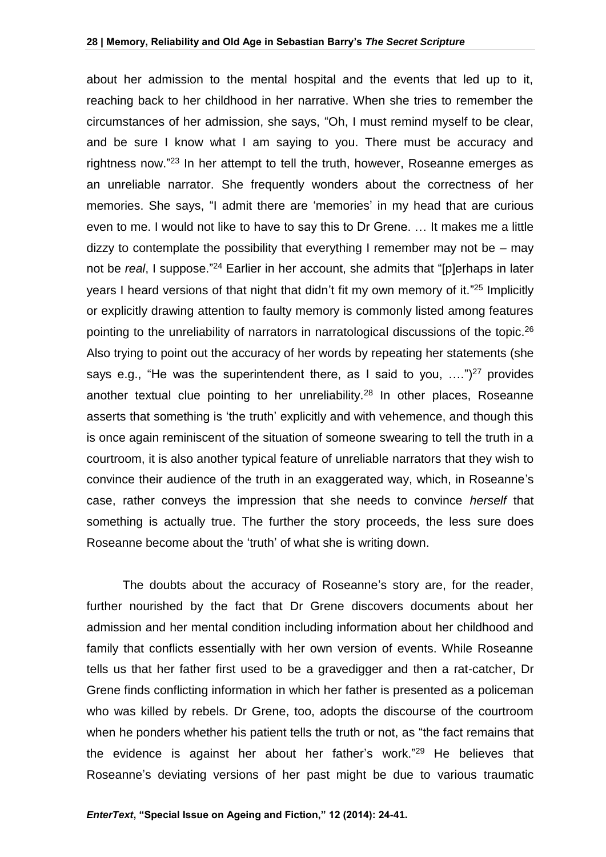about her admission to the mental hospital and the events that led up to it, reaching back to her childhood in her narrative. When she tries to remember the circumstances of her admission, she says, "Oh, I must remind myself to be clear, and be sure I know what I am saying to you. There must be accuracy and rightness now."<sup>23</sup> In her attempt to tell the truth, however, Roseanne emerges as an unreliable narrator. She frequently wonders about the correctness of her memories. She says, "I admit there are 'memories' in my head that are curious even to me. I would not like to have to say this to Dr Grene. … It makes me a little dizzy to contemplate the possibility that everything I remember may not be  $-$  may not be *real*, I suppose." <sup>24</sup> Earlier in her account, she admits that "[p]erhaps in later years I heard versions of that night that didn't fit my own memory of it."<sup>25</sup> Implicitly or explicitly drawing attention to faulty memory is commonly listed among features pointing to the unreliability of narrators in narratological discussions of the topic.<sup>26</sup> Also trying to point out the accuracy of her words by repeating her statements (she says e.g., "He was the superintendent there, as I said to you,  $\dots$ ")<sup>27</sup> provides another textual clue pointing to her unreliability.<sup>28</sup> In other places, Roseanne asserts that something is 'the truth' explicitly and with vehemence, and though this is once again reminiscent of the situation of someone swearing to tell the truth in a courtroom, it is also another typical feature of unreliable narrators that they wish to convince their audience of the truth in an exaggerated way, which, in Roseanne's case, rather conveys the impression that she needs to convince *herself* that something is actually true. The further the story proceeds, the less sure does Roseanne become about the 'truth' of what she is writing down.

The doubts about the accuracy of Roseanne's story are, for the reader, further nourished by the fact that Dr Grene discovers documents about her admission and her mental condition including information about her childhood and family that conflicts essentially with her own version of events. While Roseanne tells us that her father first used to be a gravedigger and then a rat-catcher, Dr Grene finds conflicting information in which her father is presented as a policeman who was killed by rebels. Dr Grene, too, adopts the discourse of the courtroom when he ponders whether his patient tells the truth or not, as "the fact remains that the evidence is against her about her father's work." <sup>29</sup> He believes that Roseanne's deviating versions of her past might be due to various traumatic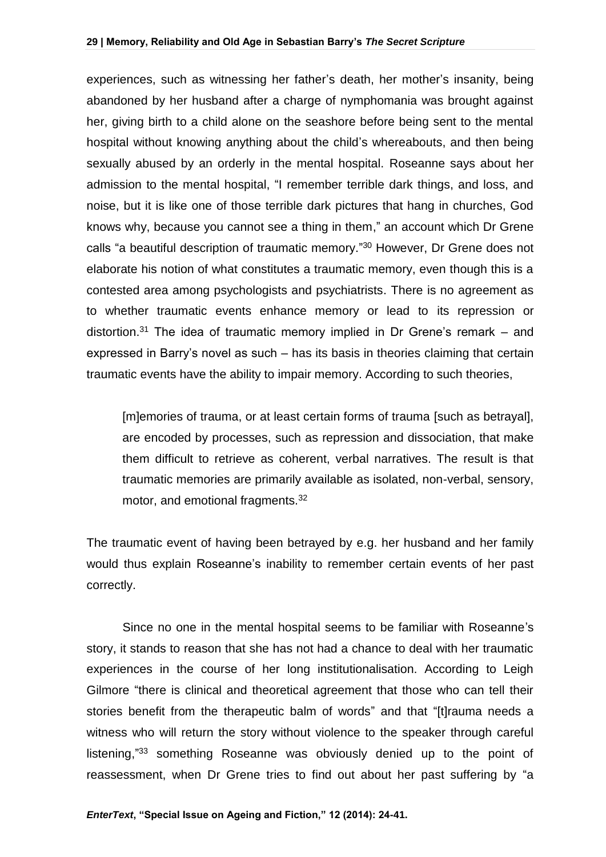experiences, such as witnessing her father's death, her mother's insanity, being abandoned by her husband after a charge of nymphomania was brought against her, giving birth to a child alone on the seashore before being sent to the mental hospital without knowing anything about the child's whereabouts, and then being sexually abused by an orderly in the mental hospital. Roseanne says about her admission to the mental hospital, "I remember terrible dark things, and loss, and noise, but it is like one of those terrible dark pictures that hang in churches, God knows why, because you cannot see a thing in them," an account which Dr Grene calls "a beautiful description of traumatic memory." <sup>30</sup> However, Dr Grene does not elaborate his notion of what constitutes a traumatic memory, even though this is a contested area among psychologists and psychiatrists. There is no agreement as to whether traumatic events enhance memory or lead to its repression or distortion.<sup>31</sup> The idea of traumatic memory implied in Dr Grene's remark  $-$  and expressed in Barry's novel as such – has its basis in theories claiming that certain traumatic events have the ability to impair memory. According to such theories,

[m]emories of trauma, or at least certain forms of trauma [such as betrayal], are encoded by processes, such as repression and dissociation, that make them difficult to retrieve as coherent, verbal narratives. The result is that traumatic memories are primarily available as isolated, non-verbal, sensory, motor, and emotional fragments.<sup>32</sup>

The traumatic event of having been betrayed by e.g. her husband and her family would thus explain Roseanne's inability to remember certain events of her past correctly.

Since no one in the mental hospital seems to be familiar with Roseanne's story, it stands to reason that she has not had a chance to deal with her traumatic experiences in the course of her long institutionalisation. According to Leigh Gilmore "there is clinical and theoretical agreement that those who can tell their stories benefit from the therapeutic balm of words" and that "[t]rauma needs a witness who will return the story without violence to the speaker through careful listening,"<sup>33</sup> something Roseanne was obviously denied up to the point of reassessment, when Dr Grene tries to find out about her past suffering by "a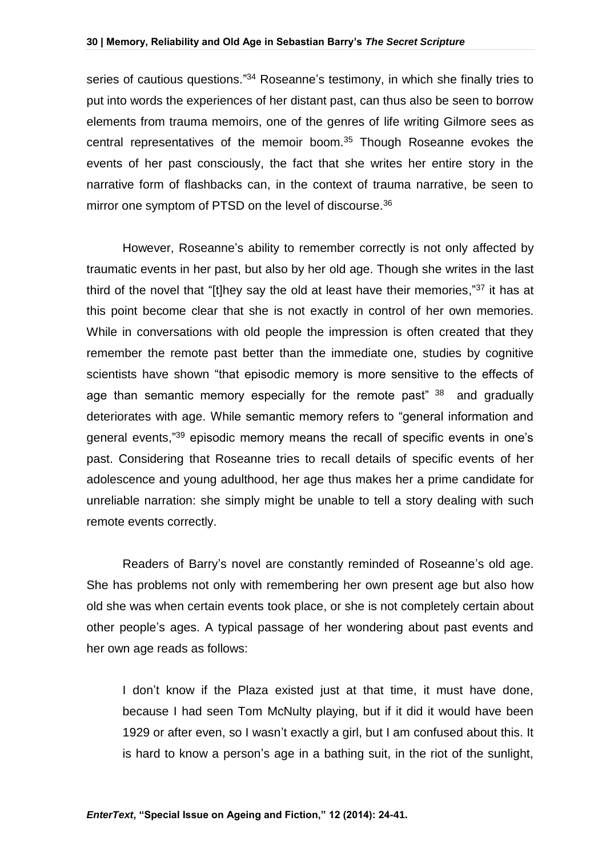series of cautious questions."<sup>34</sup> Roseanne's testimony, in which she finally tries to put into words the experiences of her distant past, can thus also be seen to borrow elements from trauma memoirs, one of the genres of life writing Gilmore sees as central representatives of the memoir boom.<sup>35</sup> Though Roseanne evokes the events of her past consciously, the fact that she writes her entire story in the narrative form of flashbacks can, in the context of trauma narrative, be seen to mirror one symptom of PTSD on the level of discourse.<sup>36</sup>

However, Roseanne's ability to remember correctly is not only affected by traumatic events in her past, but also by her old age. Though she writes in the last third of the novel that "[t]hey say the old at least have their memories,"<sup>37</sup> it has at this point become clear that she is not exactly in control of her own memories. While in conversations with old people the impression is often created that they remember the remote past better than the immediate one, studies by cognitive scientists have shown "that episodic memory is more sensitive to the effects of age than semantic memory especially for the remote past<sup>" 38</sup> and gradually deteriorates with age. While semantic memory refers to "general information and general events,"<sup>39</sup> episodic memory means the recall of specific events in one's past. Considering that Roseanne tries to recall details of specific events of her adolescence and young adulthood, her age thus makes her a prime candidate for unreliable narration: she simply might be unable to tell a story dealing with such remote events correctly.

Readers of Barry's novel are constantly reminded of Roseanne's old age. She has problems not only with remembering her own present age but also how old she was when certain events took place, or she is not completely certain about other people's ages. A typical passage of her wondering about past events and her own age reads as follows:

I don't know if the Plaza existed just at that time, it must have done, because I had seen Tom McNulty playing, but if it did it would have been 1929 or after even, so I wasn't exactly a girl, but I am confused about this. It is hard to know a person's age in a bathing suit, in the riot of the sunlight,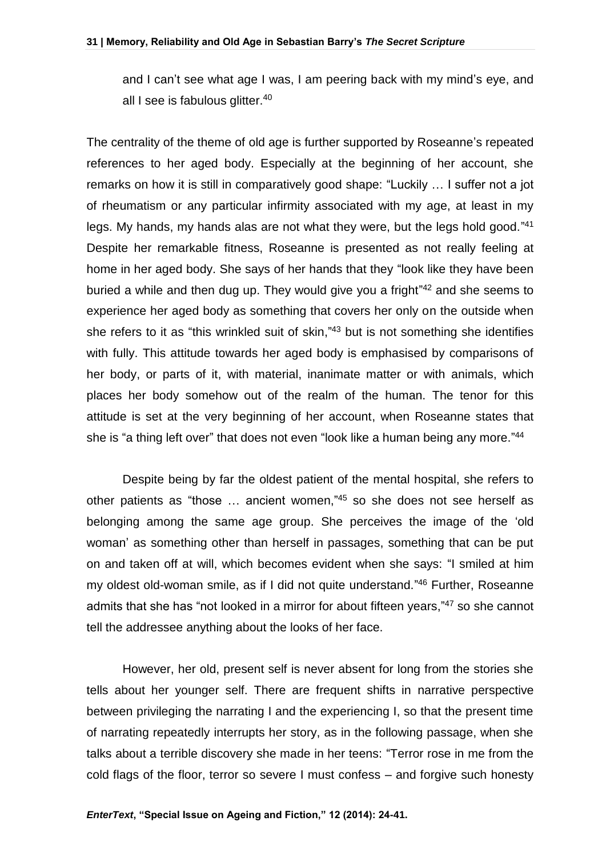and I can't see what age I was, I am peering back with my mind's eye, and all I see is fabulous glitter.<sup>40</sup>

The centrality of the theme of old age is further supported by Roseanne's repeated references to her aged body. Especially at the beginning of her account, she remarks on how it is still in comparatively good shape: "Luckily … I suffer not a jot of rheumatism or any particular infirmity associated with my age, at least in my legs. My hands, my hands alas are not what they were, but the legs hold good."41 Despite her remarkable fitness, Roseanne is presented as not really feeling at home in her aged body. She says of her hands that they "look like they have been buried a while and then dug up. They would give you a fright"<sup>42</sup> and she seems to experience her aged body as something that covers her only on the outside when she refers to it as "this wrinkled suit of skin,"<sup>43</sup> but is not something she identifies with fully. This attitude towards her aged body is emphasised by comparisons of her body, or parts of it, with material, inanimate matter or with animals, which places her body somehow out of the realm of the human. The tenor for this attitude is set at the very beginning of her account, when Roseanne states that she is "a thing left over" that does not even "look like a human being any more."<sup>44</sup>

Despite being by far the oldest patient of the mental hospital, she refers to other patients as "those … ancient women," <sup>45</sup> so she does not see herself as belonging among the same age group. She perceives the image of the 'old woman' as something other than herself in passages, something that can be put on and taken off at will, which becomes evident when she says: "I smiled at him my oldest old-woman smile, as if I did not quite understand." <sup>46</sup> Further, Roseanne admits that she has "not looked in a mirror for about fifteen years,"<sup>47</sup> so she cannot tell the addressee anything about the looks of her face.

However, her old, present self is never absent for long from the stories she tells about her younger self. There are frequent shifts in narrative perspective between privileging the narrating I and the experiencing I, so that the present time of narrating repeatedly interrupts her story, as in the following passage, when she talks about a terrible discovery she made in her teens: "Terror rose in me from the cold flags of the floor, terror so severe I must confess – and forgive such honesty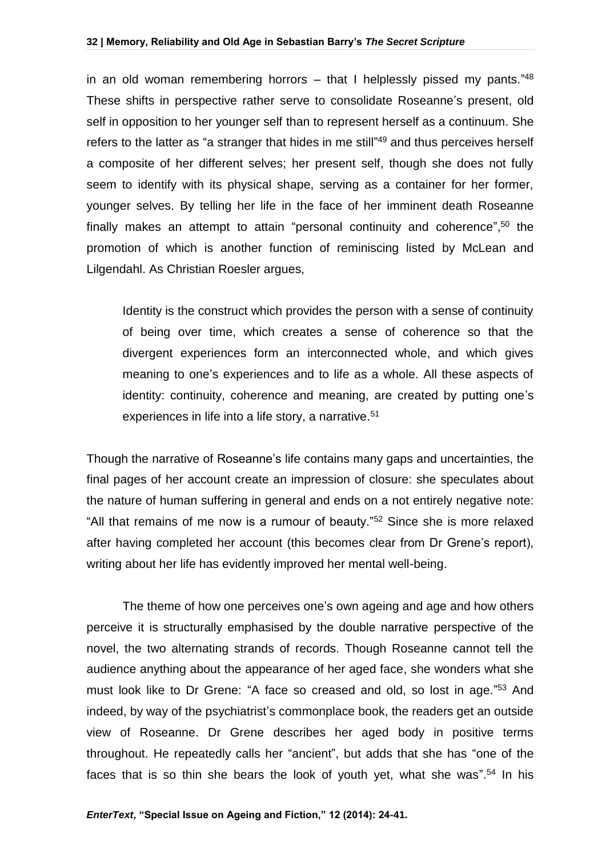#### **32 | Memory, Reliability and Old Age in Sebastian Barry's** *The Secret Scripture*

in an old woman remembering horrors – that I helplessly pissed my pants."<sup>48</sup> These shifts in perspective rather serve to consolidate Roseanne's present, old self in opposition to her younger self than to represent herself as a continuum. She refers to the latter as "a stranger that hides in me still"<sup>49</sup> and thus perceives herself a composite of her different selves; her present self, though she does not fully seem to identify with its physical shape, serving as a container for her former, younger selves. By telling her life in the face of her imminent death Roseanne finally makes an attempt to attain "personal continuity and coherence", <sup>50</sup> the promotion of which is another function of reminiscing listed by McLean and Lilgendahl. As Christian Roesler argues,

Identity is the construct which provides the person with a sense of continuity of being over time, which creates a sense of coherence so that the divergent experiences form an interconnected whole, and which gives meaning to one's experiences and to life as a whole. All these aspects of identity: continuity, coherence and meaning, are created by putting one's experiences in life into a life story, a narrative.<sup>51</sup>

Though the narrative of Roseanne's life contains many gaps and uncertainties, the final pages of her account create an impression of closure: she speculates about the nature of human suffering in general and ends on a not entirely negative note: "All that remains of me now is a rumour of beauty."<sup>52</sup> Since she is more relaxed after having completed her account (this becomes clear from Dr Grene's report), writing about her life has evidently improved her mental well-being.

The theme of how one perceives one's own ageing and age and how others perceive it is structurally emphasised by the double narrative perspective of the novel, the two alternating strands of records. Though Roseanne cannot tell the audience anything about the appearance of her aged face, she wonders what she must look like to Dr Grene: "A face so creased and old, so lost in age."<sup>53</sup> And indeed, by way of the psychiatrist's commonplace book, the readers get an outside view of Roseanne. Dr Grene describes her aged body in positive terms throughout. He repeatedly calls her "ancient", but adds that she has "one of the faces that is so thin she bears the look of youth yet, what she was".<sup>54</sup> In his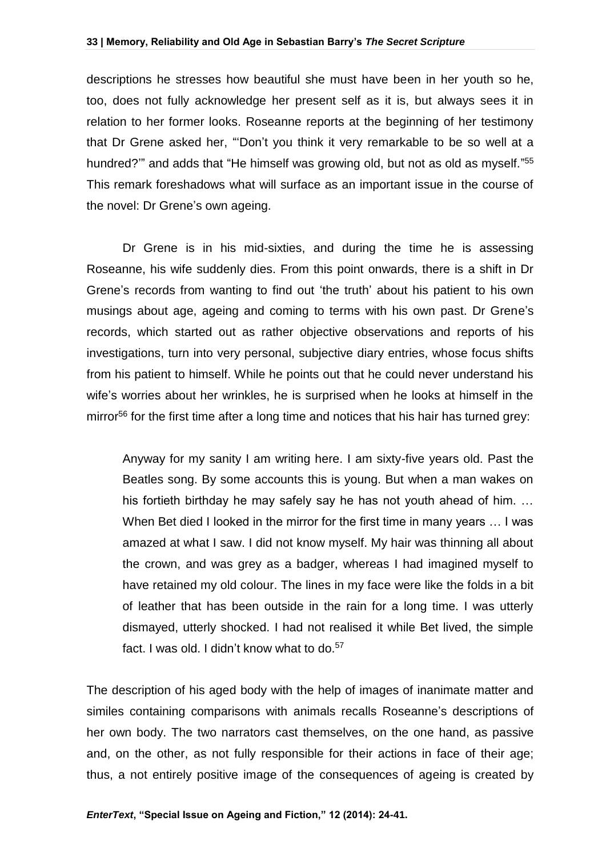#### **33 | Memory, Reliability and Old Age in Sebastian Barry's** *The Secret Scripture*

descriptions he stresses how beautiful she must have been in her youth so he, too, does not fully acknowledge her present self as it is, but always sees it in relation to her former looks. Roseanne reports at the beginning of her testimony that Dr Grene asked her, "'Don't you think it very remarkable to be so well at a hundred?" and adds that "He himself was growing old, but not as old as myself."<sup>55</sup> This remark foreshadows what will surface as an important issue in the course of the novel: Dr Grene's own ageing.

Dr Grene is in his mid-sixties, and during the time he is assessing Roseanne, his wife suddenly dies. From this point onwards, there is a shift in Dr Grene's records from wanting to find out 'the truth' about his patient to his own musings about age, ageing and coming to terms with his own past. Dr Grene's records, which started out as rather objective observations and reports of his investigations, turn into very personal, subjective diary entries, whose focus shifts from his patient to himself. While he points out that he could never understand his wife's worries about her wrinkles, he is surprised when he looks at himself in the mirror<sup>56</sup> for the first time after a long time and notices that his hair has turned grey:

Anyway for my sanity I am writing here. I am sixty-five years old. Past the Beatles song. By some accounts this is young. But when a man wakes on his fortieth birthday he may safely say he has not youth ahead of him. … When Bet died I looked in the mirror for the first time in many years ... I was amazed at what I saw. I did not know myself. My hair was thinning all about the crown, and was grey as a badger, whereas I had imagined myself to have retained my old colour. The lines in my face were like the folds in a bit of leather that has been outside in the rain for a long time. I was utterly dismayed, utterly shocked. I had not realised it while Bet lived, the simple fact. I was old. I didn't know what to do.<sup>57</sup>

The description of his aged body with the help of images of inanimate matter and similes containing comparisons with animals recalls Roseanne's descriptions of her own body. The two narrators cast themselves, on the one hand, as passive and, on the other, as not fully responsible for their actions in face of their age; thus, a not entirely positive image of the consequences of ageing is created by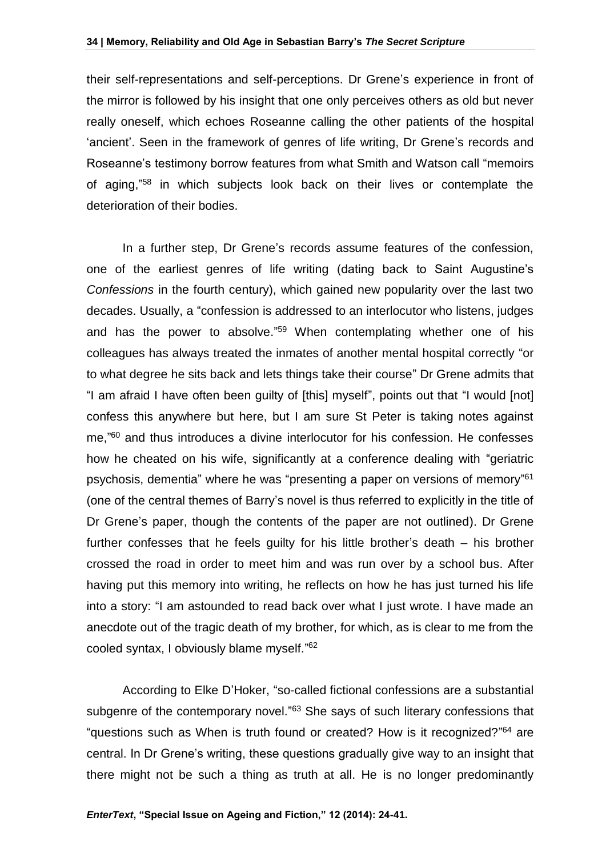their self-representations and self-perceptions. Dr Grene's experience in front of the mirror is followed by his insight that one only perceives others as old but never really oneself, which echoes Roseanne calling the other patients of the hospital 'ancient'. Seen in the framework of genres of life writing, Dr Grene's records and Roseanne's testimony borrow features from what Smith and Watson call "memoirs of aging," <sup>58</sup> in which subjects look back on their lives or contemplate the deterioration of their bodies.

In a further step, Dr Grene's records assume features of the confession, one of the earliest genres of life writing (dating back to Saint Augustine's *Confessions* in the fourth century), which gained new popularity over the last two decades. Usually, a "confession is addressed to an interlocutor who listens, judges and has the power to absolve."<sup>59</sup> When contemplating whether one of his colleagues has always treated the inmates of another mental hospital correctly "or to what degree he sits back and lets things take their course" Dr Grene admits that "I am afraid I have often been guilty of [this] myself", points out that "I would [not] confess this anywhere but here, but I am sure St Peter is taking notes against me," <sup>60</sup> and thus introduces a divine interlocutor for his confession. He confesses how he cheated on his wife, significantly at a conference dealing with "geriatric psychosis, dementia" where he was "presenting a paper on versions of memory"<sup>61</sup> (one of the central themes of Barry's novel is thus referred to explicitly in the title of Dr Grene's paper, though the contents of the paper are not outlined). Dr Grene further confesses that he feels guilty for his little brother's death – his brother crossed the road in order to meet him and was run over by a school bus. After having put this memory into writing, he reflects on how he has just turned his life into a story: "I am astounded to read back over what I just wrote. I have made an anecdote out of the tragic death of my brother, for which, as is clear to me from the cooled syntax, I obviously blame myself." 62

According to Elke D'Hoker, "so-called fictional confessions are a substantial subgenre of the contemporary novel."<sup>63</sup> She says of such literary confessions that "questions such as When is truth found or created? How is it recognized?"<sup>64</sup> are central. In Dr Grene's writing, these questions gradually give way to an insight that there might not be such a thing as truth at all. He is no longer predominantly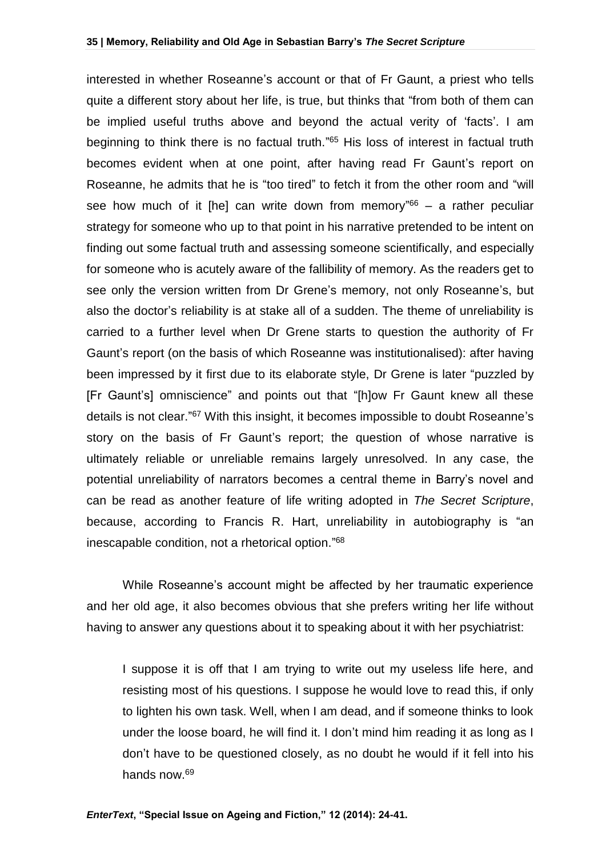interested in whether Roseanne's account or that of Fr Gaunt, a priest who tells quite a different story about her life, is true, but thinks that "from both of them can be implied useful truths above and beyond the actual verity of 'facts'. I am beginning to think there is no factual truth."<sup>65</sup> His loss of interest in factual truth becomes evident when at one point, after having read Fr Gaunt's report on Roseanne, he admits that he is "too tired" to fetch it from the other room and "will see how much of it [he] can write down from memory<sup>"66</sup> – a rather peculiar strategy for someone who up to that point in his narrative pretended to be intent on finding out some factual truth and assessing someone scientifically, and especially for someone who is acutely aware of the fallibility of memory. As the readers get to see only the version written from Dr Grene's memory, not only Roseanne's, but also the doctor's reliability is at stake all of a sudden. The theme of unreliability is carried to a further level when Dr Grene starts to question the authority of Fr Gaunt's report (on the basis of which Roseanne was institutionalised): after having been impressed by it first due to its elaborate style, Dr Grene is later "puzzled by [Fr Gaunt's] omniscience" and points out that "[h]ow Fr Gaunt knew all these details is not clear."<sup>67</sup> With this insight, it becomes impossible to doubt Roseanne's story on the basis of Fr Gaunt's report; the question of whose narrative is ultimately reliable or unreliable remains largely unresolved. In any case, the potential unreliability of narrators becomes a central theme in Barry's novel and can be read as another feature of life writing adopted in *The Secret Scripture*, because, according to Francis R. Hart, unreliability in autobiography is "an inescapable condition, not a rhetorical option." 68

While Roseanne's account might be affected by her traumatic experience and her old age, it also becomes obvious that she prefers writing her life without having to answer any questions about it to speaking about it with her psychiatrist:

I suppose it is off that I am trying to write out my useless life here, and resisting most of his questions. I suppose he would love to read this, if only to lighten his own task. Well, when I am dead, and if someone thinks to look under the loose board, he will find it. I don't mind him reading it as long as I don't have to be questioned closely, as no doubt he would if it fell into his hands now.69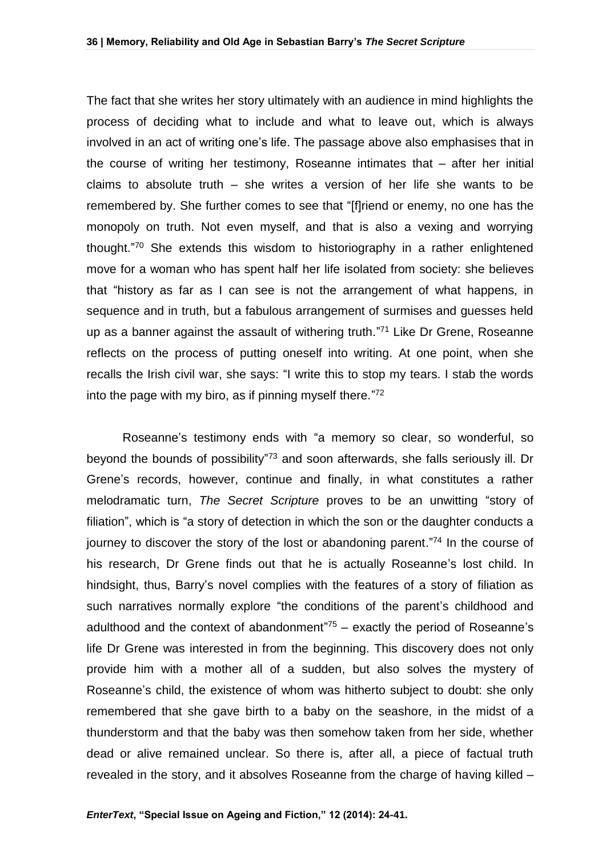The fact that she writes her story ultimately with an audience in mind highlights the process of deciding what to include and what to leave out, which is always involved in an act of writing one's life. The passage above also emphasises that in the course of writing her testimony, Roseanne intimates that – after her initial claims to absolute truth – she writes a version of her life she wants to be remembered by. She further comes to see that "[f]riend or enemy, no one has the monopoly on truth. Not even myself, and that is also a vexing and worrying thought." <sup>70</sup> She extends this wisdom to historiography in a rather enlightened move for a woman who has spent half her life isolated from society: she believes that "history as far as I can see is not the arrangement of what happens, in sequence and in truth, but a fabulous arrangement of surmises and guesses held up as a banner against the assault of withering truth." <sup>71</sup> Like Dr Grene, Roseanne reflects on the process of putting oneself into writing. At one point, when she recalls the Irish civil war, she says: "I write this to stop my tears. I stab the words into the page with my biro, as if pinning myself there." 72

Roseanne's testimony ends with "a memory so clear, so wonderful, so beyond the bounds of possibility<sup>"73</sup> and soon afterwards, she falls seriously ill. Dr Grene's records, however, continue and finally, in what constitutes a rather melodramatic turn, *The Secret Scripture* proves to be an unwitting "story of filiation", which is "a story of detection in which the son or the daughter conducts a journey to discover the story of the lost or abandoning parent."<sup>74</sup> In the course of his research, Dr Grene finds out that he is actually Roseanne's lost child. In hindsight, thus, Barry's novel complies with the features of a story of filiation as such narratives normally explore "the conditions of the parent's childhood and adulthood and the context of abandonment<sup> $75$ </sup> – exactly the period of Roseanne's life Dr Grene was interested in from the beginning. This discovery does not only provide him with a mother all of a sudden, but also solves the mystery of Roseanne's child, the existence of whom was hitherto subject to doubt: she only remembered that she gave birth to a baby on the seashore, in the midst of a thunderstorm and that the baby was then somehow taken from her side, whether dead or alive remained unclear. So there is, after all, a piece of factual truth revealed in the story, and it absolves Roseanne from the charge of having killed –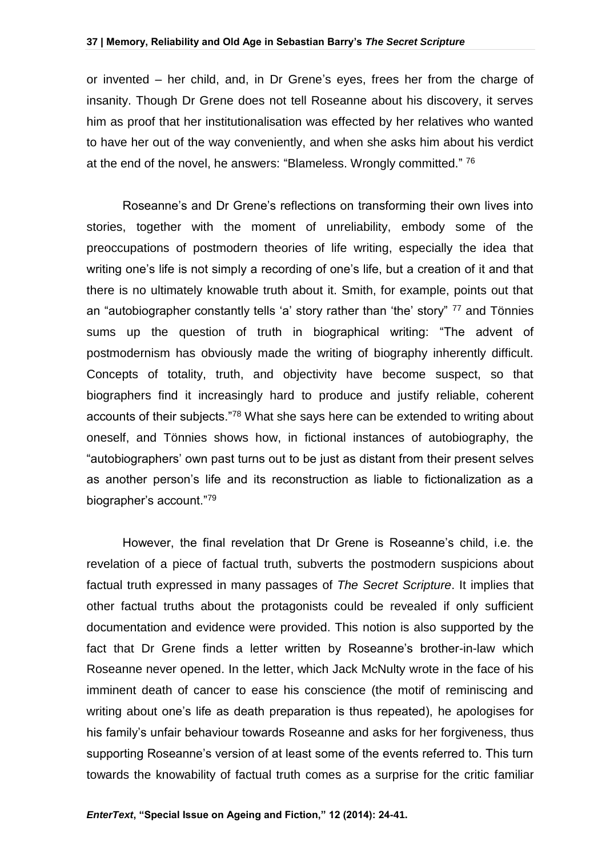#### **37 | Memory, Reliability and Old Age in Sebastian Barry's** *The Secret Scripture*

or invented – her child, and, in Dr Grene's eyes, frees her from the charge of insanity. Though Dr Grene does not tell Roseanne about his discovery, it serves him as proof that her institutionalisation was effected by her relatives who wanted to have her out of the way conveniently, and when she asks him about his verdict at the end of the novel, he answers: "Blameless. Wrongly committed." 76

Roseanne's and Dr Grene's reflections on transforming their own lives into stories, together with the moment of unreliability, embody some of the preoccupations of postmodern theories of life writing, especially the idea that writing one's life is not simply a recording of one's life, but a creation of it and that there is no ultimately knowable truth about it. Smith, for example, points out that an "autobiographer constantly tells 'a' story rather than 'the' story" <sup>77</sup> and Tönnies sums up the question of truth in biographical writing: "The advent of postmodernism has obviously made the writing of biography inherently difficult. Concepts of totality, truth, and objectivity have become suspect, so that biographers find it increasingly hard to produce and justify reliable, coherent accounts of their subjects."<sup>78</sup> What she says here can be extended to writing about oneself, and Tönnies shows how, in fictional instances of autobiography, the "autobiographers' own past turns out to be just as distant from their present selves as another person's life and its reconstruction as liable to fictionalization as a biographer's account."<sup>79</sup>

However, the final revelation that Dr Grene is Roseanne's child, i.e. the revelation of a piece of factual truth, subverts the postmodern suspicions about factual truth expressed in many passages of *The Secret Scripture*. It implies that other factual truths about the protagonists could be revealed if only sufficient documentation and evidence were provided. This notion is also supported by the fact that Dr Grene finds a letter written by Roseanne's brother-in-law which Roseanne never opened. In the letter, which Jack McNulty wrote in the face of his imminent death of cancer to ease his conscience (the motif of reminiscing and writing about one's life as death preparation is thus repeated), he apologises for his family's unfair behaviour towards Roseanne and asks for her forgiveness, thus supporting Roseanne's version of at least some of the events referred to. This turn towards the knowability of factual truth comes as a surprise for the critic familiar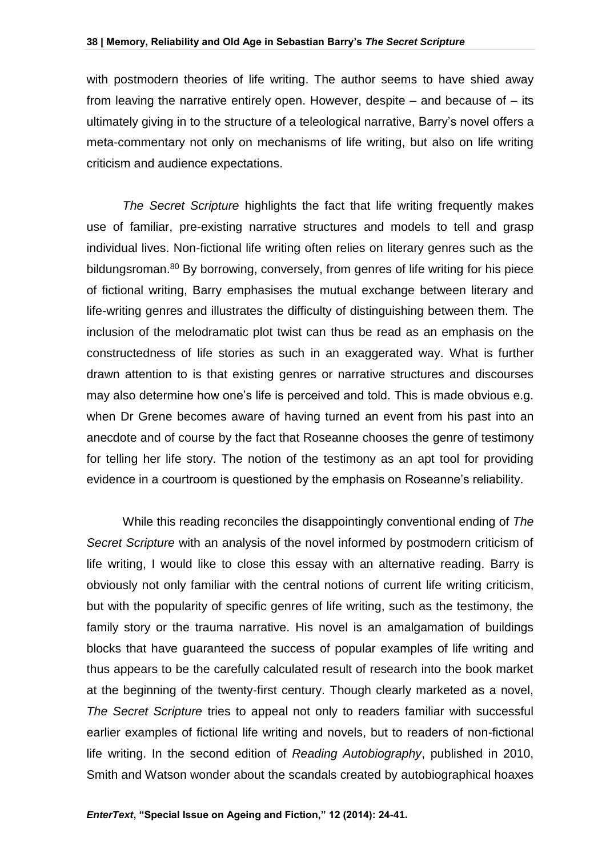with postmodern theories of life writing. The author seems to have shied away from leaving the narrative entirely open. However, despite  $-$  and because of  $-$  its ultimately giving in to the structure of a teleological narrative, Barry's novel offers a meta-commentary not only on mechanisms of life writing, but also on life writing criticism and audience expectations.

*The Secret Scripture* highlights the fact that life writing frequently makes use of familiar, pre-existing narrative structures and models to tell and grasp individual lives. Non-fictional life writing often relies on literary genres such as the bildungsroman.<sup>80</sup> By borrowing, conversely, from genres of life writing for his piece of fictional writing, Barry emphasises the mutual exchange between literary and life-writing genres and illustrates the difficulty of distinguishing between them. The inclusion of the melodramatic plot twist can thus be read as an emphasis on the constructedness of life stories as such in an exaggerated way. What is further drawn attention to is that existing genres or narrative structures and discourses may also determine how one's life is perceived and told. This is made obvious e.g. when Dr Grene becomes aware of having turned an event from his past into an anecdote and of course by the fact that Roseanne chooses the genre of testimony for telling her life story. The notion of the testimony as an apt tool for providing evidence in a courtroom is questioned by the emphasis on Roseanne's reliability.

While this reading reconciles the disappointingly conventional ending of *The Secret Scripture* with an analysis of the novel informed by postmodern criticism of life writing, I would like to close this essay with an alternative reading. Barry is obviously not only familiar with the central notions of current life writing criticism, but with the popularity of specific genres of life writing, such as the testimony, the family story or the trauma narrative. His novel is an amalgamation of buildings blocks that have guaranteed the success of popular examples of life writing and thus appears to be the carefully calculated result of research into the book market at the beginning of the twenty-first century. Though clearly marketed as a novel, *The Secret Scripture* tries to appeal not only to readers familiar with successful earlier examples of fictional life writing and novels, but to readers of non-fictional life writing. In the second edition of *Reading Autobiography*, published in 2010, Smith and Watson wonder about the scandals created by autobiographical hoaxes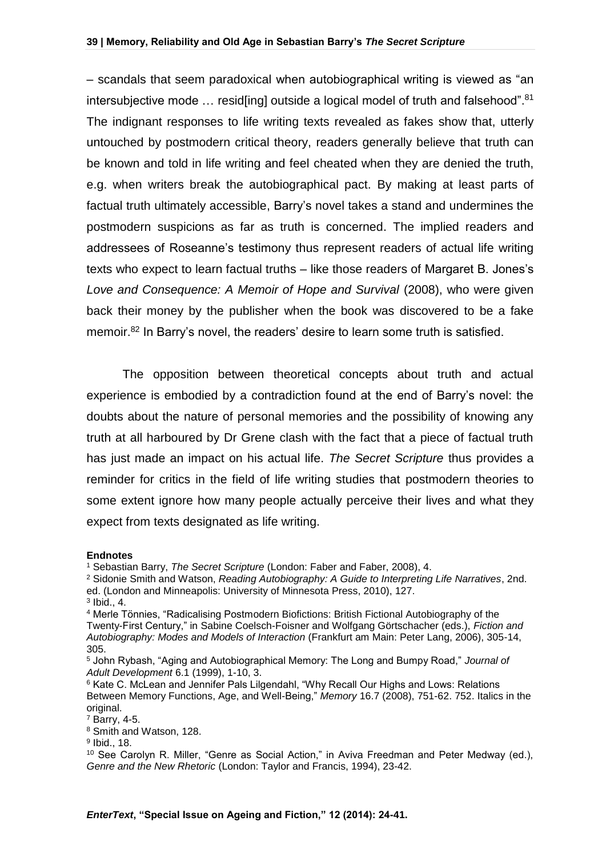– scandals that seem paradoxical when autobiographical writing is viewed as "an intersubjective mode ... resid[ing] outside a logical model of truth and falsehood".<sup>81</sup> The indignant responses to life writing texts revealed as fakes show that, utterly untouched by postmodern critical theory, readers generally believe that truth can be known and told in life writing and feel cheated when they are denied the truth, e.g. when writers break the autobiographical pact. By making at least parts of factual truth ultimately accessible, Barry's novel takes a stand and undermines the postmodern suspicions as far as truth is concerned. The implied readers and addressees of Roseanne's testimony thus represent readers of actual life writing texts who expect to learn factual truths – like those readers of Margaret B. Jones's *Love and Consequence: A Memoir of Hope and Survival* (2008), who were given back their money by the publisher when the book was discovered to be a fake memoir.<sup>82</sup> In Barry's novel, the readers' desire to learn some truth is satisfied.

The opposition between theoretical concepts about truth and actual experience is embodied by a contradiction found at the end of Barry's novel: the doubts about the nature of personal memories and the possibility of knowing any truth at all harboured by Dr Grene clash with the fact that a piece of factual truth has just made an impact on his actual life. *The Secret Scripture* thus provides a reminder for critics in the field of life writing studies that postmodern theories to some extent ignore how many people actually perceive their lives and what they expect from texts designated as life writing.

#### **Endnotes**

<sup>1</sup> Sebastian Barry, *The Secret Scripture* (London: Faber and Faber, 2008), 4.

<sup>2</sup> Sidonie Smith and Watson, *Reading Autobiography: A Guide to Interpreting Life Narratives*, 2nd. ed. (London and Minneapolis: University of Minnesota Press, 2010), 127. 3 Ibid., 4.

<sup>4</sup> Merle Tönnies, "Radicalising Postmodern Biofictions: British Fictional Autobiography of the Twenty-First Century," in Sabine Coelsch-Foisner and Wolfgang Görtschacher (eds.), *Fiction and Autobiography: Modes and Models of Interaction* (Frankfurt am Main: Peter Lang, 2006), 305-14, 305.

<sup>5</sup> John Rybash, "Aging and Autobiographical Memory: The Long and Bumpy Road," *Journal of Adult Development* 6.1 (1999), 1-10, 3.

<sup>6</sup> Kate C. McLean and Jennifer Pals Lilgendahl, "Why Recall Our Highs and Lows: Relations Between Memory Functions, Age, and Well-Being," *Memory* 16.7 (2008), 751-62. 752. Italics in the original.

<sup>7</sup> Barry, 4-5.

<sup>8</sup> Smith and Watson, 128.

<sup>9</sup> Ibid., 18.

<sup>&</sup>lt;sup>10</sup> See Carolyn R. Miller, "Genre as Social Action," in Aviva Freedman and Peter Medway (ed.), *Genre and the New Rhetoric* (London: Taylor and Francis, 1994), 23-42.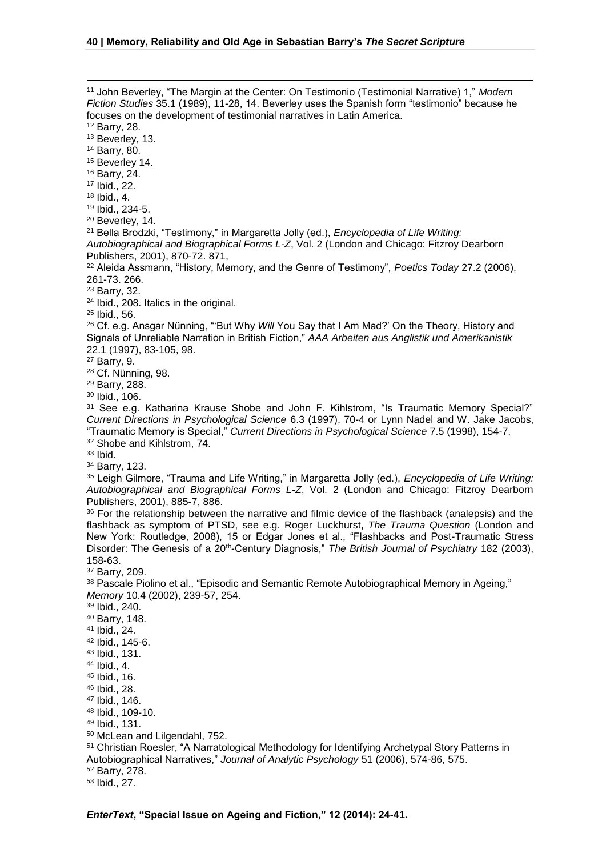<u>.</u>

*EnterText***, "Special Issue on Ageing and Fiction," 12 (2014): 24-41.** John Beverley, "The Margin at the Center: On Testimonio (Testimonial Narrative) 1," *Modern Fiction Studies* 35.1 (1989), 11-28, 14. Beverley uses the Spanish form "testimonio" because he focuses on the development of testimonial narratives in Latin America. Barry, 28. <sup>13</sup> Beverley, 13. Barry, 80. <sup>15</sup> Beverley 14. Barry, 24. Ibid., 22. Ibid., 4. Ibid., 234-5. Beverley, 14. Bella Brodzki, "Testimony," in Margaretta Jolly (ed.), *Encyclopedia of Life Writing: Autobiographical and Biographical Forms L-Z*, Vol. 2 (London and Chicago: Fitzroy Dearborn Publishers, 2001), 870-72. 871, Aleida Assmann, "History, Memory, and the Genre of Testimony", *Poetics Today* 27.2 (2006), 261-73. 266. Barry, 32. Ibid., 208. Italics in the original. Ibid., 56. <sup>26</sup> Cf. e.g. Ansgar Nünning, "But Why *Will* You Say that I Am Mad?' On the Theory, History and Signals of Unreliable Narration in British Fiction," *AAA Arbeiten aus Anglistik und Amerikanistik* 22.1 (1997), 83-105, 98. Barry, 9. Cf. Nünning, 98. Barry, 288. Ibid., 106. See e.g. Katharina Krause Shobe and John F. Kihlstrom, "Is Traumatic Memory Special?" *Current Directions in Psychological Science* 6.3 (1997), 70-4 or Lynn Nadel and W. Jake Jacobs, "Traumatic Memory is Special," *Current Directions in Psychological Science* 7.5 (1998), 154-7. 32 Shobe and Kihlstrom, 74. Ibid. Barry, 123. Leigh Gilmore, "Trauma and Life Writing," in Margaretta Jolly (ed.), *Encyclopedia of Life Writing: Autobiographical and Biographical Forms L-Z*, Vol. 2 (London and Chicago: Fitzroy Dearborn Publishers, 2001), 885-7, 886. 36 For the relationship between the narrative and filmic device of the flashback (analepsis) and the flashback as symptom of PTSD, see e.g. Roger Luckhurst, *The Trauma Question* (London and New York: Routledge, 2008), 15 or Edgar Jones et al., "Flashbacks and Post-Traumatic Stress Disorder: The Genesis of a 20th-Century Diagnosis," *The British Journal of Psychiatry* 182 (2003), 158-63. Barry, 209. 38 Pascale Piolino et al., "Episodic and Semantic Remote Autobiographical Memory in Ageing," *Memory* 10.4 (2002), 239-57, 254. Ibid., 240. Barry, 148. Ibid., 24. Ibid., 145-6. Ibid., 131. Ibid., 4. Ibid., 16. Ibid., 28. Ibid., 146. Ibid., 109-10. Ibid., 131. McLean and Lilgendahl, 752. Christian Roesler, "A Narratological Methodology for Identifying Archetypal Story Patterns in Autobiographical Narratives," *Journal of Analytic Psychology* 51 (2006), 574-86, 575. Barry, 278. Ibid., 27.